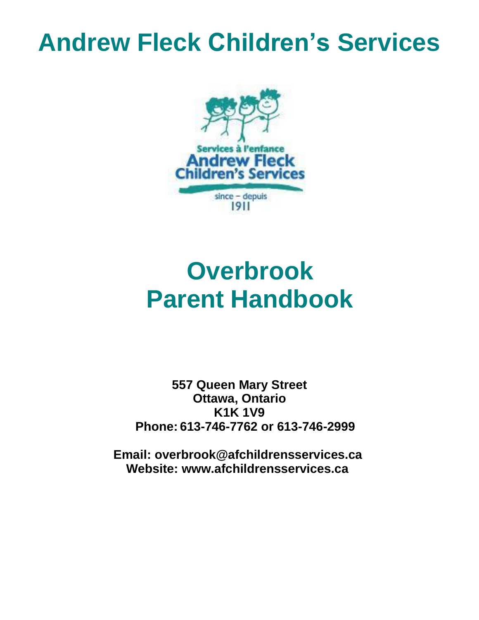# **Andrew Fleck Children's Services**



# **Overbrook Parent Handbook**

**557 Queen Mary Street Ottawa, Ontario K1K 1V9 Phone: 613-746-7762 or 613-746-2999**

**Email: overbrook@afchildrensservices.ca Website: [www.afchildrensservices.ca](http://www.afchildrensservices.ca/)**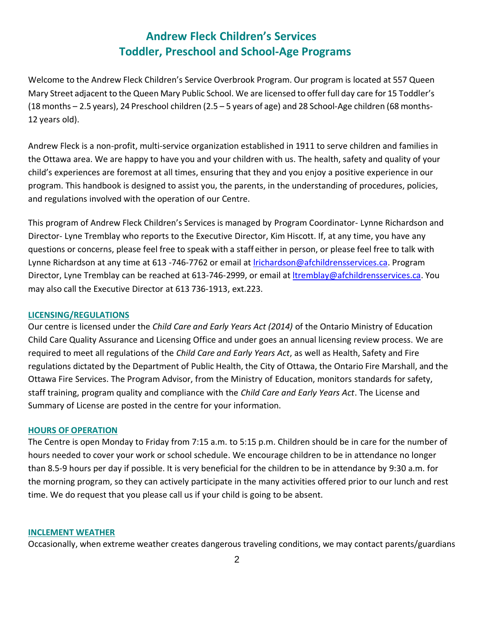# **Andrew Fleck Children's Services Toddler, Preschool and School-Age Programs**

Welcome to the Andrew Fleck Children's Service Overbrook Program. Our program is located at 557 Queen Mary Street adjacent to the Queen Mary Public School. We are licensed to offer full day care for 15 Toddler's (18 months – 2.5 years), 24 Preschool children (2.5 – 5 years of age) and 28 School-Age children (68 months-12 years old).

Andrew Fleck is a non-profit, multi-service organization established in 1911 to serve children and families in the Ottawa area. We are happy to have you and your children with us. The health, safety and quality of your child's experiences are foremost at all times, ensuring that they and you enjoy a positive experience in our program. This handbook is designed to assist you, the parents, in the understanding of procedures, policies, and regulations involved with the operation of our Centre.

This program of Andrew Fleck Children's Services is managed by Program Coordinator- Lynne Richardson and Director- Lyne Tremblay who reports to the Executive Director, Kim Hiscott. If, at any time, you have any questions or concerns, please feel free to speak with a staff either in person, or please feel free to talk with Lynne Richardson at any time at 613 -746-7762 or email a[t lrichardson@afchildrensservices.ca.](mailto:lrichardson@afchildrensservices.ca) Program Director, Lyne Tremblay can be reached at 613-746-2999, or email at Itremblay@afchildrensservices.ca. You may also call the Executive Director at 613 736-1913, ext.223.

#### **LICENSING/REGULATIONS**

Our centre is licensed under the *Child Care and Early Years Act (2014)* of the Ontario Ministry of Education Child Care Quality Assurance and Licensing Office and under goes an annual licensing review process. We are required to meet all regulations of the *Child Care and Early Years Act*, as well as Health, Safety and Fire regulations dictated by the Department of Public Health, the City of Ottawa, the Ontario Fire Marshall, and the Ottawa Fire Services. The Program Advisor, from the Ministry of Education, monitors standards for safety, staff training, program quality and compliance with the *Child Care and Early Years Act*. The License and Summary of License are posted in the centre for your information.

#### **HOURS OF OPERATION**

The Centre is open Monday to Friday from 7:15 a.m. to 5:15 p.m. Children should be in care for the number of hours needed to cover your work or school schedule. We encourage children to be in attendance no longer than 8.5-9 hours per day if possible. It is very beneficial for the children to be in attendance by 9:30 a.m. for the morning program, so they can actively participate in the many activities offered prior to our lunch and rest time. We do request that you please call us if your child is going to be absent.

#### **INCLEMENT WEATHER**

Occasionally, when extreme weather creates dangerous traveling conditions, we may contact parents/guardians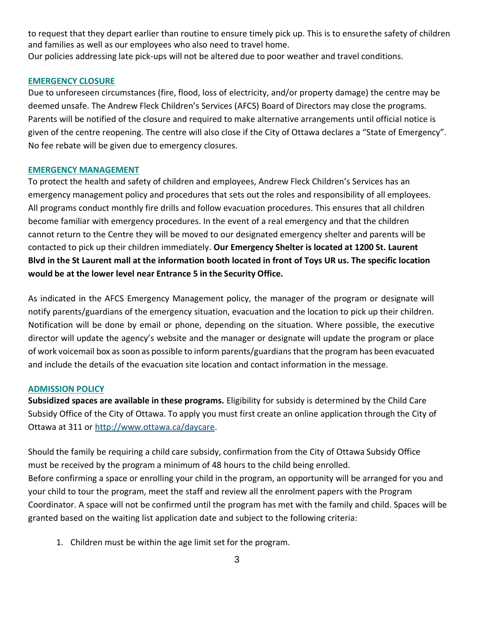to request that they depart earlier than routine to ensure timely pick up. This is to ensurethe safety of children and families as well as our employees who also need to travel home. Our policies addressing late pick-ups will not be altered due to poor weather and travel conditions.

#### **EMERGENCY CLOSURE**

Due to unforeseen circumstances (fire, flood, loss of electricity, and/or property damage) the centre may be deemed unsafe. The Andrew Fleck Children's Services (AFCS) Board of Directors may close the programs. Parents will be notified of the closure and required to make alternative arrangements until official notice is given of the centre reopening. The centre will also close if the City of Ottawa declares a "State of Emergency". No fee rebate will be given due to emergency closures.

#### **EMERGENCY MANAGEMENT**

To protect the health and safety of children and employees, Andrew Fleck Children's Services has an emergency management policy and procedures that sets out the roles and responsibility of all employees. All programs conduct monthly fire drills and follow evacuation procedures. This ensures that all children become familiar with emergency procedures. In the event of a real emergency and that the children cannot return to the Centre they will be moved to our designated emergency shelter and parents will be contacted to pick up their children immediately. **Our Emergency Shelter is located at 1200 St. Laurent Blvd in the St Laurent mall at the information booth located in front of Toys UR us. The specific location would be at the lower level near Entrance 5 in the Security Office.**

As indicated in the AFCS Emergency Management policy, the manager of the program or designate will notify parents/guardians of the emergency situation, evacuation and the location to pick up their children. Notification will be done by email or phone, depending on the situation. Where possible, the executive director will update the agency's website and the manager or designate will update the program or place of work voicemail box as soon as possible to inform parents/guardians that the program has been evacuated and include the details of the evacuation site location and contact information in the message.

#### **ADMISSION POLICY**

**Subsidized spaces are available in these programs.** Eligibility for subsidy is determined by the Child Care Subsidy Office of the City of Ottawa. To apply you must first create an online application through the City of Ottawa at 311 or [http://www.ottawa.ca/daycare.](http://www.ottawa.ca/daycare)

Should the family be requiring a child care subsidy, confirmation from the City of Ottawa Subsidy Office must be received by the program a minimum of 48 hours to the child being enrolled. Before confirming a space or enrolling your child in the program, an opportunity will be arranged for you and your child to tour the program, meet the staff and review all the enrolment papers with the Program Coordinator. A space will not be confirmed until the program has met with the family and child. Spaces will be granted based on the waiting list application date and subject to the following criteria:

1. Children must be within the age limit set for the program.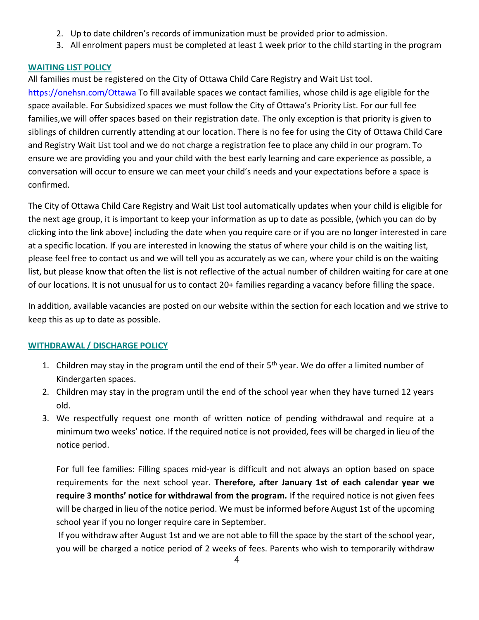- 2. Up to date children's records of immunization must be provided prior to admission.
- 3. All enrolment papers must be completed at least 1 week prior to the child starting in the program

# **WAITING LIST POLICY**

All families must be registered on the City of Ottawa Child Care Registry and Wait List tool.

https://onehsn.com/Ottawa To fill available spaces we contact families, whose child is age eligible for the space available. For Subsidized spaces we must follow the City of Ottawa's Priority List. For our full fee families,we will offer spaces based on their registration date. The only exception is that priority is given to siblings of children currently attending at our location. There is no fee for using the City of Ottawa Child Care and Registry Wait List tool and we do not charge a registration fee to place any child in our program. To ensure we are providing you and your child with the best early learning and care experience as possible, a conversation will occur to ensure we can meet your child's needs and your expectations before a space is confirmed.

The City of Ottawa Child Care Registry and Wait List tool automatically updates when your child is eligible for the next age group, it is important to keep your information as up to date as possible, (which you can do by clicking into the link above) including the date when you require care or if you are no longer interested in care at a specific location. If you are interested in knowing the status of where your child is on the waiting list, please feel free to contact us and we will tell you as accurately as we can, where your child is on the waiting list, but please know that often the list is not reflective of the actual number of children waiting for care at one of our locations. It is not unusual for us to contact 20+ families regarding a vacancy before filling the space.

In addition, available vacancies are posted on our website within the section for each location and we strive to keep this as up to date as possible.

# **WITHDRAWAL / DISCHARGE POLICY**

- 1. Children may stay in the program until the end of their  $5<sup>th</sup>$  year. We do offer a limited number of Kindergarten spaces.
- 2. Children may stay in the program until the end of the school year when they have turned 12 years old.
- 3. We respectfully request one month of written notice of pending withdrawal and require at a minimum two weeks' notice. If the required notice is not provided, fees will be charged in lieu of the notice period.

For full fee families: Filling spaces mid-year is difficult and not always an option based on space requirements for the next school year. **Therefore, after January 1st of each calendar year we require 3 months' notice for withdrawal from the program.** If the required notice is not given fees will be charged in lieu of the notice period. We must be informed before August 1st of the upcoming school year if you no longer require care in September.

If you withdraw after August 1st and we are not able to fill the space by the start of the school year, you will be charged a notice period of 2 weeks of fees. Parents who wish to temporarily withdraw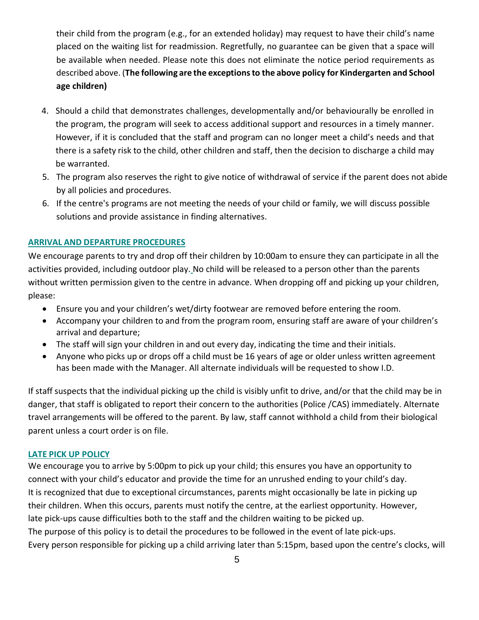their child from the program (e.g., for an extended holiday) may request to have their child's name placed on the waiting list for readmission. Regretfully, no guarantee can be given that a space will be available when needed. Please note this does not eliminate the notice period requirements as described above. (**The following are the exceptionsto the above policy for Kindergarten and School age children)**

- 4. Should a child that demonstrates challenges, developmentally and/or behaviourally be enrolled in the program, the program will seek to access additional support and resources in a timely manner. However, if it is concluded that the staff and program can no longer meet a child's needs and that there is a safety risk to the child, other children and staff, then the decision to discharge a child may be warranted.
- 5. The program also reserves the right to give notice of withdrawal of service if the parent does not abide by all policies and procedures.
- 6. If the centre's programs are not meeting the needs of your child or family, we will discuss possible solutions and provide assistance in finding alternatives.

### **ARRIVAL AND DEPARTURE PROCEDURES**

We encourage parents to try and drop off their children by 10:00am to ensure they can participate in all the activities provided, including outdoor play. No child will be released to a person other than the parents without written permission given to the centre in advance. When dropping off and picking up your children, please:

- Ensure you and your children's wet/dirty footwear are removed before entering the room.
- Accompany your children to and from the program room, ensuring staff are aware of your children's arrival and departure;
- The staff will sign your children in and out every day, indicating the time and their initials.
- Anyone who picks up or drops off a child must be 16 years of age or older unless written agreement has been made with the Manager. All alternate individuals will be requested to show I.D.

If staff suspects that the individual picking up the child is visibly unfit to drive, and/or that the child may be in danger, that staff is obligated to report their concern to the authorities (Police /CAS) immediately. Alternate travel arrangements will be offered to the parent. By law, staff cannot withhold a child from their biological parent unless a court order is on file.

#### **LATE PICK UP POLICY**

We encourage you to arrive by 5:00pm to pick up your child; this ensures you have an opportunity to connect with your child's educator and provide the time for an unrushed ending to your child's day. It is recognized that due to exceptional circumstances, parents might occasionally be late in picking up their children. When this occurs, parents must notify the centre, at the earliest opportunity. However, late pick-ups cause difficulties both to the staff and the children waiting to be picked up. The purpose of this policy is to detail the procedures to be followed in the event of late pick-ups. Every person responsible for picking up a child arriving later than 5:15pm, based upon the centre's clocks, will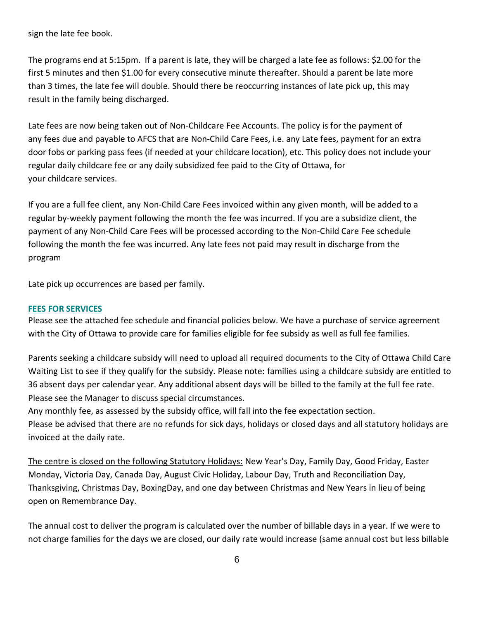sign the late fee book.

The programs end at 5:15pm. If a parent is late, they will be charged a late fee as follows: \$2.00 for the first 5 minutes and then \$1.00 for every consecutive minute thereafter. Should a parent be late more than 3 times, the late fee will double. Should there be reoccurring instances of late pick up, this may result in the family being discharged.

Late fees are now being taken out of Non-Childcare Fee Accounts. The policy is for the payment of any fees due and payable to AFCS that are Non-Child Care Fees, i.e. any Late fees, payment for an extra door fobs or parking pass fees (if needed at your childcare location), etc. This policy does not include your regular daily childcare fee or any daily subsidized fee paid to the City of Ottawa, for your childcare services.

If you are a full fee client, any Non-Child Care Fees invoiced within any given month, will be added to a regular by-weekly payment following the month the fee was incurred. If you are a subsidize client, the payment of any Non-Child Care Fees will be processed according to the Non-Child Care Fee schedule following the month the fee was incurred. Any late fees not paid may result in discharge from the program

Late pick up occurrences are based per family.

#### **FEES FOR SERVICES**

Please see the attached fee schedule and financial policies below. We have a purchase of service agreement with the City of Ottawa to provide care for families eligible for fee subsidy as well as full fee families.

Parents seeking a childcare subsidy will need to upload all required documents to the City of Ottawa Child Care Waiting List to see if they qualify for the subsidy. Please note: families using a childcare subsidy are entitled to 36 absent days per calendar year. Any additional absent days will be billed to the family at the full fee rate. Please see the Manager to discuss special circumstances.

Any monthly fee, as assessed by the subsidy office, will fall into the fee expectation section.

Please be advised that there are no refunds for sick days, holidays or closed days and all statutory holidays are invoiced at the daily rate.

The centre is closed on the following Statutory Holidays: New Year's Day, Family Day, Good Friday, Easter Monday, Victoria Day, Canada Day, August Civic Holiday, Labour Day, Truth and Reconciliation Day, Thanksgiving, Christmas Day, BoxingDay, and one day between Christmas and New Years in lieu of being open on Remembrance Day.

The annual cost to deliver the program is calculated over the number of billable days in a year. If we were to not charge families for the days we are closed, our daily rate would increase (same annual cost but less billable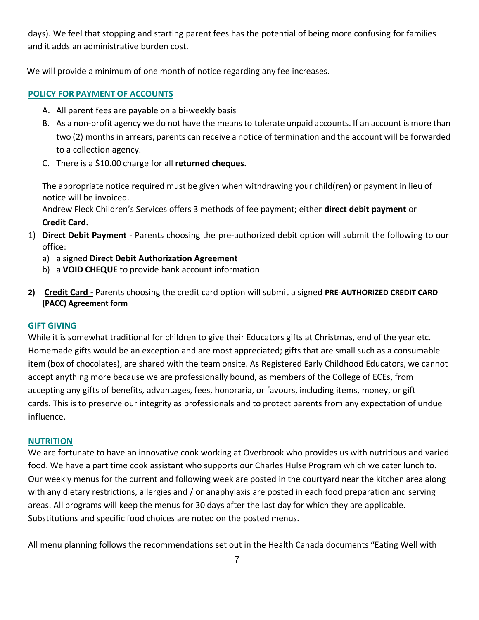days). We feel that stopping and starting parent fees has the potential of being more confusing for families and it adds an administrative burden cost.

We will provide a minimum of one month of notice regarding any fee increases.

# **POLICY FOR PAYMENT OF ACCOUNTS**

- A. All parent fees are payable on a bi-weekly basis
- B. As a non-profit agency we do not have the means to tolerate unpaid accounts. If an account is more than two (2) months in arrears, parents can receive a notice of termination and the account will be forwarded to a collection agency.
- C. There is a \$10.00 charge for all **returned cheques**.

The appropriate notice required must be given when withdrawing your child(ren) or payment in lieu of notice will be invoiced.

Andrew Fleck Children's Services offers 3 methods of fee payment; either **direct debit payment** or **Credit Card.**

- 1) **Direct Debit Payment** Parents choosing the pre-authorized debit option will submit the following to our office:
	- a) a signed **Direct Debit Authorization Agreement**
	- b) a **VOID CHEQUE** to provide bank account information
- **2) Credit Card -** Parents choosing the credit card option will submit a signed **PRE-AUTHORIZED CREDIT CARD (PACC) Agreement form**

### **GIFT GIVING**

While it is somewhat traditional for children to give their Educators gifts at Christmas, end of the year etc. Homemade gifts would be an exception and are most appreciated; gifts that are small such as a consumable item (box of chocolates), are shared with the team onsite. As Registered Early Childhood Educators, we cannot accept anything more because we are professionally bound, as members of the College of ECEs, from accepting any gifts of benefits, advantages, fees, honoraria, or favours, including items, money, or gift cards. This is to preserve our integrity as professionals and to protect parents from any expectation of undue influence.

### **NUTRITION**

We are fortunate to have an innovative cook working at Overbrook who provides us with nutritious and varied food. We have a part time cook assistant who supports our Charles Hulse Program which we cater lunch to. Our weekly menus for the current and following week are posted in the courtyard near the kitchen area along with any dietary restrictions, allergies and / or anaphylaxis are posted in each food preparation and serving areas. All programs will keep the menus for 30 days after the last day for which they are applicable. Substitutions and specific food choices are noted on the posted menus.

All menu planning follows the recommendations set out in the Health Canada documents "Eating Well with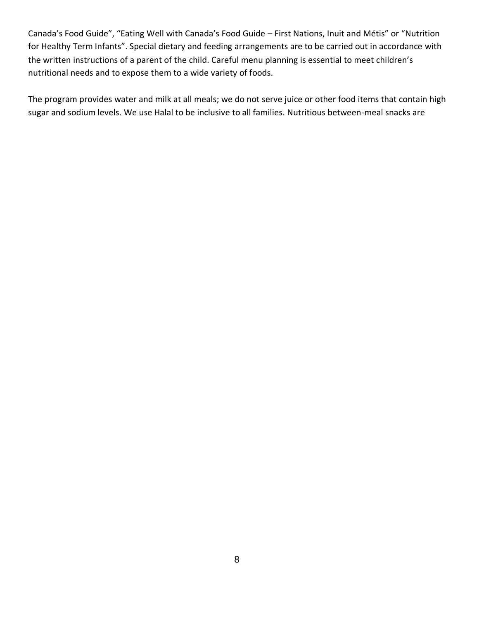Canada's Food Guide", "Eating Well with Canada's Food Guide – First Nations, Inuit and Métis" or "Nutrition for Healthy Term Infants". Special dietary and feeding arrangements are to be carried out in accordance with the written instructions of a parent of the child. Careful menu planning is essential to meet children's nutritional needs and to expose them to a wide variety of foods.

The program provides water and milk at all meals; we do not serve juice or other food items that contain high sugar and sodium levels. We use Halal to be inclusive to all families. Nutritious between-meal snacks are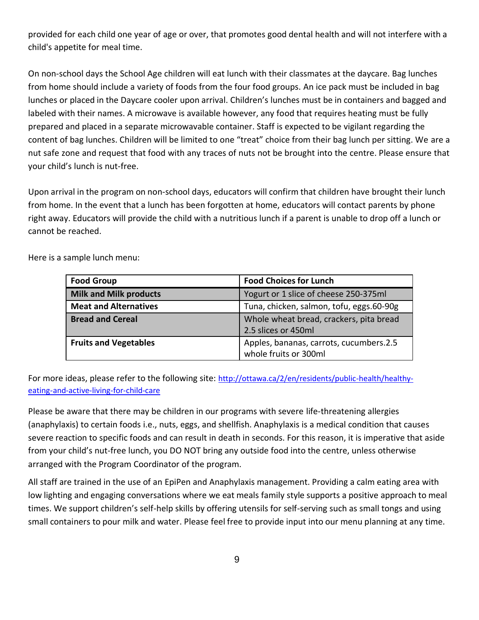provided for each child one year of age or over, that promotes good dental health and will not interfere with a child's appetite for meal time.

On non-school days the School Age children will eat lunch with their classmates at the daycare. Bag lunches from home should include a variety of foods from the four food groups. An ice pack must be included in bag lunches or placed in the Daycare cooler upon arrival. Children's lunches must be in containers and bagged and labeled with their names. A microwave is available however, any food that requires heating must be fully prepared and placed in a separate microwavable container. Staff is expected to be vigilant regarding the content of bag lunches. Children will be limited to one "treat" choice from their bag lunch per sitting. We are a nut safe zone and request that food with any traces of nuts not be brought into the centre. Please ensure that your child's lunch is nut-free.

Upon arrival in the program on non-school days, educators will confirm that children have brought their lunch from home. In the event that a lunch has been forgotten at home, educators will contact parents by phone right away. Educators will provide the child with a nutritious lunch if a parent is unable to drop off a lunch or cannot be reached.

| <b>Food Group</b>             | <b>Food Choices for Lunch</b>                                    |
|-------------------------------|------------------------------------------------------------------|
| <b>Milk and Milk products</b> | Yogurt or 1 slice of cheese 250-375ml                            |
| <b>Meat and Alternatives</b>  | Tuna, chicken, salmon, tofu, eggs.60-90g                         |
| <b>Bread and Cereal</b>       | Whole wheat bread, crackers, pita bread<br>2.5 slices or 450ml   |
| <b>Fruits and Vegetables</b>  | Apples, bananas, carrots, cucumbers.2.5<br>whole fruits or 300ml |

Here is a sample lunch menu:

For more ideas, please refer to the following site: [http://ottawa.ca/2/en/residents/public-health/healthy](http://ottawa.ca/2/en/residents/public-health/healthy-eating-)[eating-a](http://ottawa.ca/2/en/residents/public-health/healthy-eating-)nd-active-living-for-child-care

Please be aware that there may be children in our programs with severe life-threatening allergies (anaphylaxis) to certain foods i.e., nuts, eggs, and shellfish. Anaphylaxis is a medical condition that causes severe reaction to specific foods and can result in death in seconds. For this reason, it is imperative that aside from your child's nut-free lunch, you DO NOT bring any outside food into the centre, unless otherwise arranged with the Program Coordinator of the program.

All staff are trained in the use of an EpiPen and Anaphylaxis management. Providing a calm eating area with low lighting and engaging conversations where we eat meals family style supports a positive approach to meal times. We support children's self-help skills by offering utensils for self-serving such as small tongs and using small containers to pour milk and water. Please feel free to provide input into our menu planning at any time.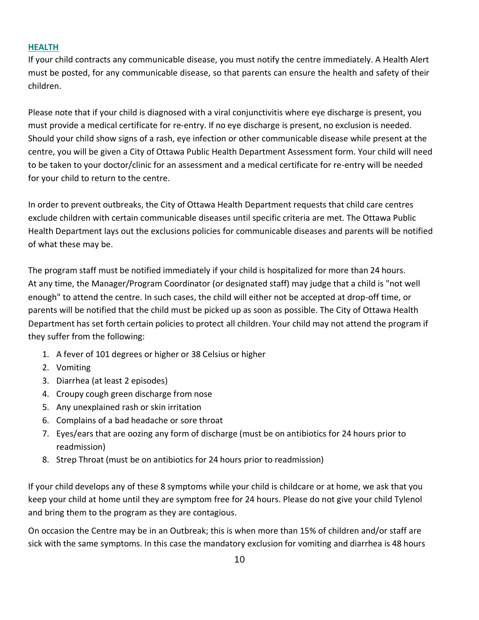### **HEALTH**

If your child contracts any communicable disease, you must notify the centre immediately. A Health Alert must be posted, for any communicable disease, so that parents can ensure the health and safety of their children.

Please note that if your child is diagnosed with a viral conjunctivitis where eye discharge is present, you must provide a medical certificate for re-entry. If no eye discharge is present, no exclusion is needed. Should your child show signs of a rash, eye infection or other communicable disease while present at the centre, you will be given a City of Ottawa Public Health Department Assessment form. Your child will need to be taken to your doctor/clinic for an assessment and a medical certificate for re-entry will be needed for your child to return to the centre.

In order to prevent outbreaks, the City of Ottawa Health Department requests that child care centres exclude children with certain communicable diseases until specific criteria are met. The Ottawa Public Health Department lays out the exclusions policies for communicable diseases and parents will be notified of what these may be.

The program staff must be notified immediately if your child is hospitalized for more than 24 hours. At any time, the Manager/Program Coordinator (or designated staff) may judge that a child is "not well enough" to attend the centre. In such cases, the child will either not be accepted at drop-off time, or parents will be notified that the child must be picked up as soon as possible. The City of Ottawa Health Department has set forth certain policies to protect all children. Your child may not attend the program if they suffer from the following:

- 1. A fever of 101 degrees or higher or 38 Celsius or higher
- 2. Vomiting
- 3. Diarrhea (at least 2 episodes)
- 4. Croupy cough green discharge from nose
- 5. Any unexplained rash or skin irritation
- 6. Complains of a bad headache or sore throat
- 7. Eyes/ears that are oozing any form of discharge (must be on antibiotics for 24 hours prior to readmission)
- 8. Strep Throat (must be on antibiotics for 24 hours prior to readmission)

If your child develops any of these 8 symptoms while your child is childcare or at home, we ask that you keep your child at home until they are symptom free for 24 hours. Please do not give your child Tylenol and bring them to the program as they are contagious.

On occasion the Centre may be in an Outbreak; this is when more than 15% of children and/or staff are sick with the same symptoms. In this case the mandatory exclusion for vomiting and diarrhea is 48 hours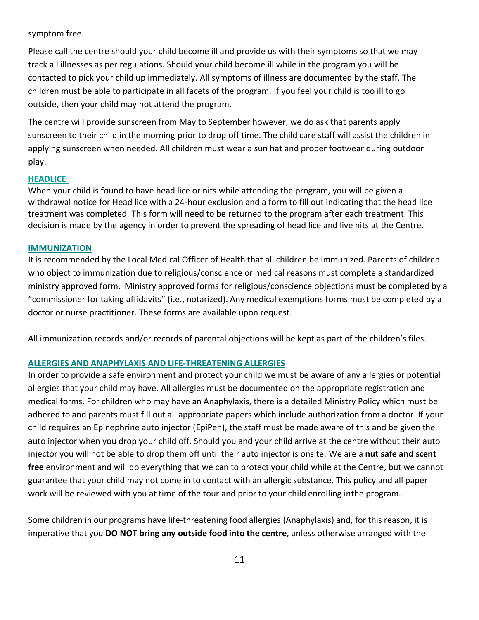#### symptom free.

Please call the centre should your child become ill and provide us with their symptoms so that we may track all illnesses as per regulations. Should your child become ill while in the program you will be contacted to pick your child up immediately. All symptoms of illness are documented by the staff. The children must be able to participate in all facets of the program. If you feel your child is too ill to go outside, then your child may not attend the program.

The centre will provide sunscreen from May to September however, we do ask that parents apply sunscreen to their child in the morning prior to drop off time. The child care staff will assist the children in applying sunscreen when needed. All children must wear a sun hat and proper footwear during outdoor play.

#### **HEADLICE**

When your child is found to have head lice or nits while attending the program, you will be given a withdrawal notice for Head lice with a 24-hour exclusion and a form to fill out indicating that the head lice treatment was completed. This form will need to be returned to the program after each treatment. This decision is made by the agency in order to prevent the spreading of head lice and live nits at the Centre.

#### **IMMUNIZATION**

It is recommended by the Local Medical Officer of Health that all children be immunized. Parents of children who object to immunization due to religious/conscience or medical reasons must complete a standardized ministry approved form. Ministry approved forms for religious/conscience objections must be completed by a "commissioner for taking affidavits" (i.e., notarized). Any medical exemptions forms must be completed by a doctor or nurse practitioner. These forms are available upon request.

All immunization records and/or records of parental objections will be kept as part of the children's files.

### **ALLERGIES AND ANAPHYLAXIS AND LIFE-THREATENING ALLERGIES**

In order to provide a safe environment and protect your child we must be aware of any allergies or potential allergies that your child may have. All allergies must be documented on the appropriate registration and medical forms. For children who may have an Anaphylaxis, there is a detailed Ministry Policy which must be adhered to and parents must fill out all appropriate papers which include authorization from a doctor. If your child requires an Epinephrine auto injector (EpiPen), the staff must be made aware of this and be given the auto injector when you drop your child off. Should you and your child arrive at the centre without their auto injector you will not be able to drop them off until their auto injector is onsite. We are a **nut safe and scent free** environment and will do everything that we can to protect your child while at the Centre, but we cannot guarantee that your child may not come in to contact with an allergic substance. This policy and all paper work will be reviewed with you at time of the tour and prior to your child enrolling inthe program.

Some children in our programs have life-threatening food allergies (Anaphylaxis) and, for this reason, it is imperative that you **DO NOT bring any outside food into the centre**, unless otherwise arranged with the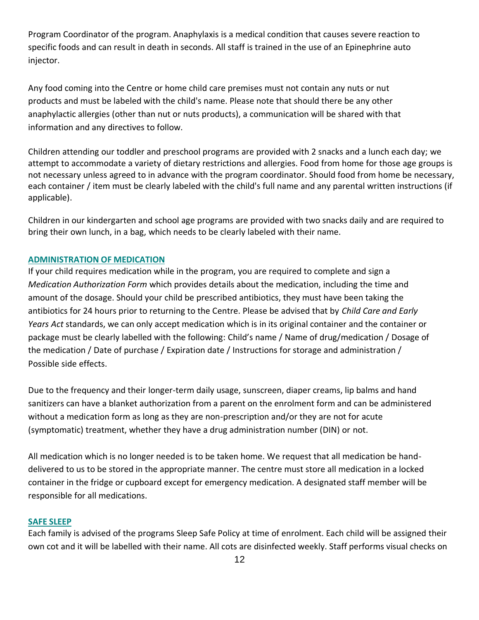Program Coordinator of the program. Anaphylaxis is a medical condition that causes severe reaction to specific foods and can result in death in seconds. All staff is trained in the use of an Epinephrine auto injector.

Any food coming into the Centre or home child care premises must not contain any nuts or nut products and must be labeled with the child's name. Please note that should there be any other anaphylactic allergies (other than nut or nuts products), a communication will be shared with that information and any directives to follow.

Children attending our toddler and preschool programs are provided with 2 snacks and a lunch each day; we attempt to accommodate a variety of dietary restrictions and allergies. Food from home for those age groups is not necessary unless agreed to in advance with the program coordinator. Should food from home be necessary, each container / item must be clearly labeled with the child's full name and any parental written instructions (if applicable).

Children in our kindergarten and school age programs are provided with two snacks daily and are required to bring their own lunch, in a bag, which needs to be clearly labeled with their name.

### **ADMINISTRATION OF MEDICATION**

If your child requires medication while in the program, you are required to complete and sign a *Medication Authorization Form* which provides details about the medication, including the time and amount of the dosage. Should your child be prescribed antibiotics, they must have been taking the antibiotics for 24 hours prior to returning to the Centre. Please be advised that by *Child Care and Early Years Act* standards, we can only accept medication which is in its original container and the container or package must be clearly labelled with the following: Child's name / Name of drug/medication / Dosage of the medication / Date of purchase / Expiration date / Instructions for storage and administration / Possible side effects.

Due to the frequency and their longer-term daily usage, sunscreen, diaper creams, lip balms and hand sanitizers can have a blanket authorization from a parent on the enrolment form and can be administered without a medication form as long as they are non-prescription and/or they are not for acute (symptomatic) treatment, whether they have a drug administration number (DIN) or not.

All medication which is no longer needed is to be taken home. We request that all medication be handdelivered to us to be stored in the appropriate manner. The centre must store all medication in a locked container in the fridge or cupboard except for emergency medication. A designated staff member will be responsible for all medications.

### **SAFE SLEEP**

Each family is advised of the programs Sleep Safe Policy at time of enrolment. Each child will be assigned their own cot and it will be labelled with their name. All cots are disinfected weekly. Staff performs visual checks on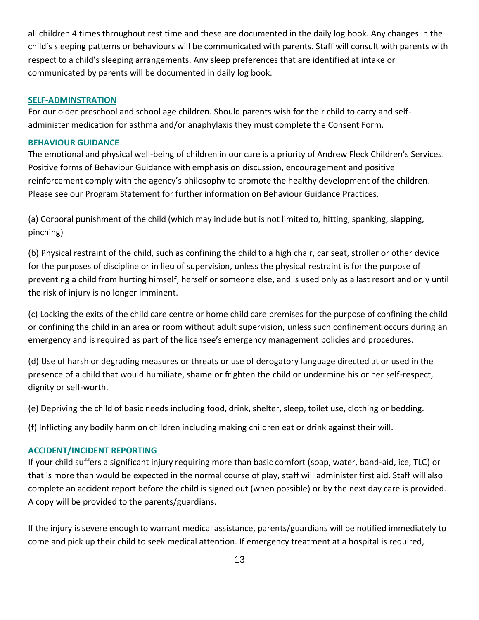all children 4 times throughout rest time and these are documented in the daily log book. Any changes in the child's sleeping patterns or behaviours will be communicated with parents. Staff will consult with parents with respect to a child's sleeping arrangements. Any sleep preferences that are identified at intake or communicated by parents will be documented in daily log book.

#### **SELF-ADMINSTRATION**

For our older preschool and school age children. Should parents wish for their child to carry and selfadminister medication for asthma and/or anaphylaxis they must complete the Consent Form.

# **BEHAVIOUR GUIDANCE**

The emotional and physical well-being of children in our care is a priority of Andrew Fleck Children's Services. Positive forms of Behaviour Guidance with emphasis on discussion, encouragement and positive reinforcement comply with the agency's philosophy to promote the healthy development of the children. Please see our Program Statement for further information on Behaviour Guidance Practices.

(a) Corporal punishment of the child (which may include but is not limited to, hitting, spanking, slapping, pinching)

(b) Physical restraint of the child, such as confining the child to a high chair, car seat, stroller or other device for the purposes of discipline or in lieu of supervision, unless the physical restraint is for the purpose of preventing a child from hurting himself, herself or someone else, and is used only as a last resort and only until the risk of injury is no longer imminent.

(c) Locking the exits of the child care centre or home child care premises for the purpose of confining the child or confining the child in an area or room without adult supervision, unless such confinement occurs during an emergency and is required as part of the licensee's emergency management policies and procedures.

(d) Use of harsh or degrading measures or threats or use of derogatory language directed at or used in the presence of a child that would humiliate, shame or frighten the child or undermine his or her self-respect, dignity or self-worth.

(e) Depriving the child of basic needs including food, drink, shelter, sleep, toilet use, clothing or bedding.

(f) Inflicting any bodily harm on children including making children eat or drink against their will.

#### **ACCIDENT/INCIDENT REPORTING**

If your child suffers a significant injury requiring more than basic comfort (soap, water, band-aid, ice, TLC) or that is more than would be expected in the normal course of play, staff will administer first aid. Staff will also complete an accident report before the child is signed out (when possible) or by the next day care is provided. A copy will be provided to the parents/guardians.

If the injury is severe enough to warrant medical assistance, parents/guardians will be notified immediately to come and pick up their child to seek medical attention. If emergency treatment at a hospital is required,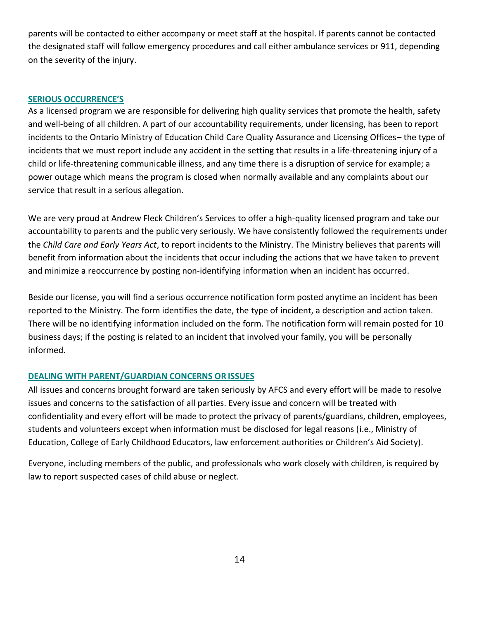parents will be contacted to either accompany or meet staff at the hospital. If parents cannot be contacted the designated staff will follow emergency procedures and call either ambulance services or 911, depending on the severity of the injury.

#### **SERIOUS OCCURRENCE'S**

As a licensed program we are responsible for delivering high quality services that promote the health, safety and well-being of all children. A part of our accountability requirements, under licensing, has been to report incidents to the Ontario Ministry of Education Child Care Quality Assurance and Licensing Offices– the type of incidents that we must report include any accident in the setting that results in a life-threatening injury of a child or life-threatening communicable illness, and any time there is a disruption of service for example; a power outage which means the program is closed when normally available and any complaints about our service that result in a serious allegation.

We are very proud at Andrew Fleck Children's Services to offer a high-quality licensed program and take our accountability to parents and the public very seriously. We have consistently followed the requirements under the *Child Care and Early Years Act*, to report incidents to the Ministry. The Ministry believes that parents will benefit from information about the incidents that occur including the actions that we have taken to prevent and minimize a reoccurrence by posting non-identifying information when an incident has occurred.

Beside our license, you will find a serious occurrence notification form posted anytime an incident has been reported to the Ministry. The form identifies the date, the type of incident, a description and action taken. There will be no identifying information included on the form. The notification form will remain posted for 10 business days; if the posting is related to an incident that involved your family, you will be personally informed.

### **DEALING WITH PARENT/GUARDIAN CONCERNS OR ISSUES**

All issues and concerns brought forward are taken seriously by AFCS and every effort will be made to resolve issues and concerns to the satisfaction of all parties. Every issue and concern will be treated with confidentiality and every effort will be made to protect the privacy of parents/guardians, children, employees, students and volunteers except when information must be disclosed for legal reasons (i.e., Ministry of Education, College of Early Childhood Educators, law enforcement authorities or Children's Aid Society).

Everyone, including members of the public, and professionals who work closely with children, is required by law to report suspected cases of child abuse or neglect.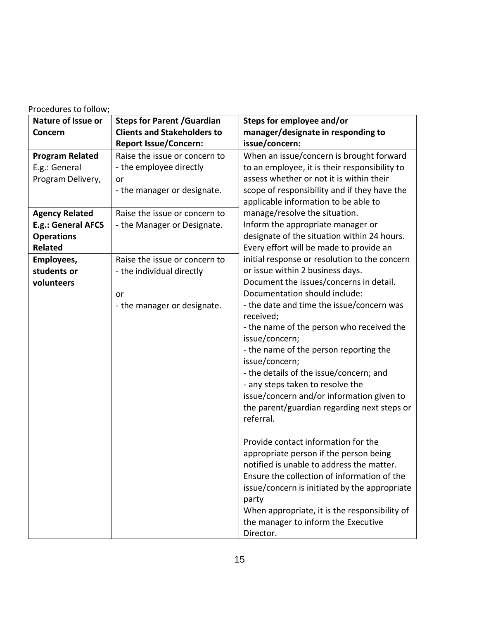| Procedures to follow; |  |  |
|-----------------------|--|--|
|-----------------------|--|--|

| Nature of Issue or     | <b>Steps for Parent / Guardian</b> | Steps for employee and/or                                |
|------------------------|------------------------------------|----------------------------------------------------------|
| Concern                | <b>Clients and Stakeholders to</b> | manager/designate in responding to                       |
|                        | <b>Report Issue/Concern:</b>       | issue/concern:                                           |
| <b>Program Related</b> | Raise the issue or concern to      | When an issue/concern is brought forward                 |
| E.g.: General          | - the employee directly            | to an employee, it is their responsibility to            |
| Program Delivery,      | or                                 | assess whether or not it is within their                 |
|                        | - the manager or designate.        | scope of responsibility and if they have the             |
|                        |                                    | applicable information to be able to                     |
| <b>Agency Related</b>  | Raise the issue or concern to      | manage/resolve the situation.                            |
| E.g.: General AFCS     | - the Manager or Designate.        | Inform the appropriate manager or                        |
| <b>Operations</b>      |                                    | designate of the situation within 24 hours.              |
| <b>Related</b>         |                                    | Every effort will be made to provide an                  |
| Employees,             | Raise the issue or concern to      | initial response or resolution to the concern            |
| students or            | - the individual directly          | or issue within 2 business days.                         |
| volunteers             |                                    | Document the issues/concerns in detail.                  |
|                        | or                                 | Documentation should include:                            |
|                        | - the manager or designate.        | - the date and time the issue/concern was                |
|                        |                                    | received;                                                |
|                        |                                    | - the name of the person who received the                |
|                        |                                    | issue/concern;                                           |
|                        |                                    | - the name of the person reporting the<br>issue/concern; |
|                        |                                    | - the details of the issue/concern; and                  |
|                        |                                    | - any steps taken to resolve the                         |
|                        |                                    | issue/concern and/or information given to                |
|                        |                                    | the parent/guardian regarding next steps or              |
|                        |                                    | referral.                                                |
|                        |                                    |                                                          |
|                        |                                    | Provide contact information for the                      |
|                        |                                    | appropriate person if the person being                   |
|                        |                                    | notified is unable to address the matter.                |
|                        |                                    | Ensure the collection of information of the              |
|                        |                                    | issue/concern is initiated by the appropriate            |
|                        |                                    | party                                                    |
|                        |                                    | When appropriate, it is the responsibility of            |
|                        |                                    | the manager to inform the Executive                      |
|                        |                                    | Director.                                                |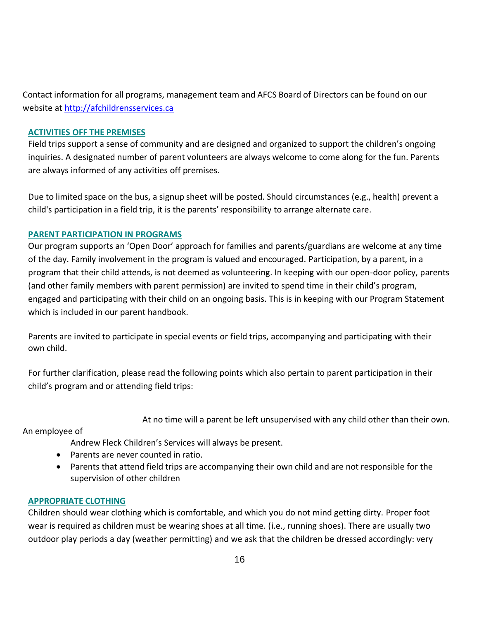Contact information for all programs, management team and AFCS Board of Directors can be found on our website at [http://afchildrensservices.ca](http://afchildrensservices.ca/)

# **ACTIVITIES OFF THE PREMISES**

Field trips support a sense of community and are designed and organized to support the children's ongoing inquiries. A designated number of parent volunteers are always welcome to come along for the fun. Parents are always informed of any activities off premises.

Due to limited space on the bus, a signup sheet will be posted. Should circumstances (e.g., health) prevent a child's participation in a field trip, it is the parents' responsibility to arrange alternate care.

# **PARENT PARTICIPATION IN PROGRAMS**

Our program supports an 'Open Door' approach for families and parents/guardians are welcome at any time of the day. Family involvement in the program is valued and encouraged. Participation, by a parent, in a program that their child attends, is not deemed as volunteering. In keeping with our open-door policy, parents (and other family members with parent permission) are invited to spend time in their child's program, engaged and participating with their child on an ongoing basis. This is in keeping with our Program Statement which is included in our parent handbook.

Parents are invited to participate in special events or field trips, accompanying and participating with their own child.

For further clarification, please read the following points which also pertain to parent participation in their child's program and or attending field trips:

At no time will a parent be left unsupervised with any child other than their own.

An employee of

Andrew Fleck Children's Services will always be present.

- Parents are never counted in ratio.
- Parents that attend field trips are accompanying their own child and are not responsible for the supervision of other children

### **APPROPRIATE CLOTHING**

Children should wear clothing which is comfortable, and which you do not mind getting dirty. Proper foot wear is required as children must be wearing shoes at all time. (i.e., running shoes). There are usually two outdoor play periods a day (weather permitting) and we ask that the children be dressed accordingly: very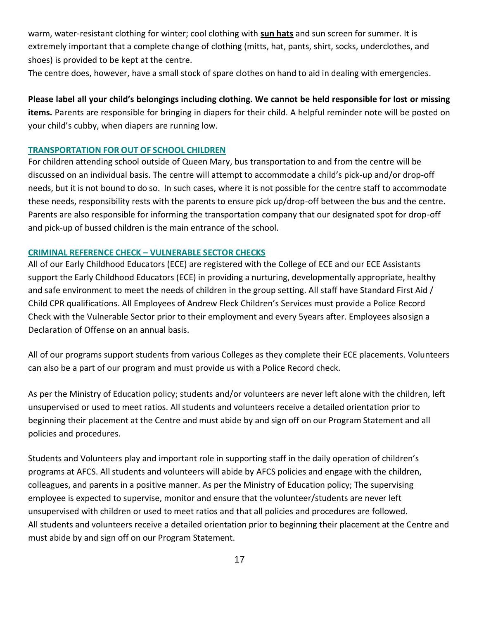warm, water-resistant clothing for winter; cool clothing with **sun hats** and sun screen for summer. It is extremely important that a complete change of clothing (mitts, hat, pants, shirt, socks, underclothes, and shoes) is provided to be kept at the centre.

The centre does, however, have a small stock of spare clothes on hand to aid in dealing with emergencies.

**Please label all your child's belongings including clothing. We cannot be held responsible for lost or missing items.** Parents are responsible for bringing in diapers for their child. A helpful reminder note will be posted on your child's cubby, when diapers are running low.

#### **TRANSPORTATION FOR OUT OF SCHOOL CHILDREN**

For children attending school outside of Queen Mary, bus transportation to and from the centre will be discussed on an individual basis. The centre will attempt to accommodate a child's pick-up and/or drop-off needs, but it is not bound to do so. In such cases, where it is not possible for the centre staff to accommodate these needs, responsibility rests with the parents to ensure pick up/drop-off between the bus and the centre. Parents are also responsible for informing the transportation company that our designated spot for drop-off and pick-up of bussed children is the main entrance of the school.

#### **CRIMINAL REFERENCE CHECK – VULNERABLE SECTOR CHECKS**

All of our Early Childhood Educators (ECE) are registered with the College of ECE and our ECE Assistants support the Early Childhood Educators (ECE) in providing a nurturing, developmentally appropriate, healthy and safe environment to meet the needs of children in the group setting. All staff have Standard First Aid / Child CPR qualifications. All Employees of Andrew Fleck Children's Services must provide a Police Record Check with the Vulnerable Sector prior to their employment and every 5years after. Employees alsosign a Declaration of Offense on an annual basis.

All of our programs support students from various Colleges as they complete their ECE placements. Volunteers can also be a part of our program and must provide us with a Police Record check.

As per the Ministry of Education policy; students and/or volunteers are never left alone with the children, left unsupervised or used to meet ratios. All students and volunteers receive a detailed orientation prior to beginning their placement at the Centre and must abide by and sign off on our Program Statement and all policies and procedures.

Students and Volunteers play and important role in supporting staff in the daily operation of children's programs at AFCS. All students and volunteers will abide by AFCS policies and engage with the children, colleagues, and parents in a positive manner. As per the Ministry of Education policy; The supervising employee is expected to supervise, monitor and ensure that the volunteer/students are never left unsupervised with children or used to meet ratios and that all policies and procedures are followed. All students and volunteers receive a detailed orientation prior to beginning their placement at the Centre and must abide by and sign off on our Program Statement.